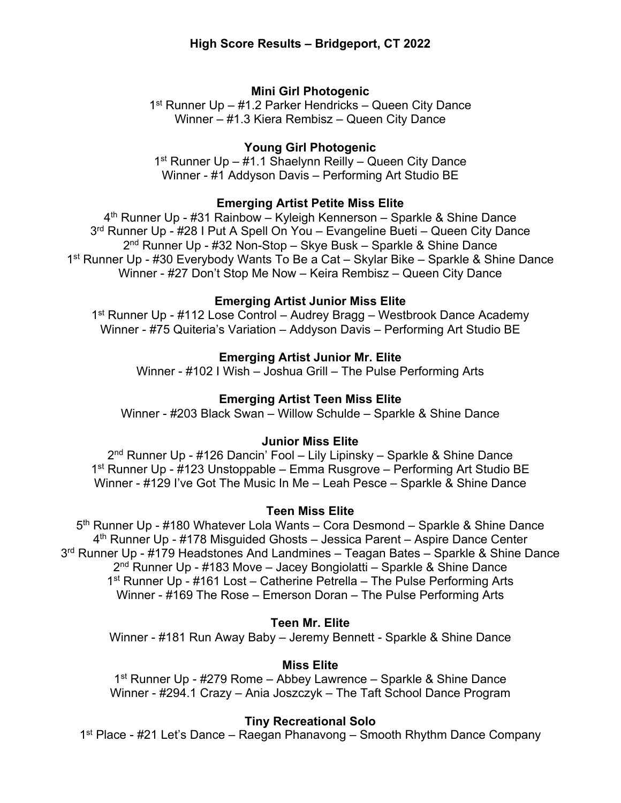# **Mini Girl Photogenic**

1<sup>st</sup> Runner Up – #1.2 Parker Hendricks – Queen City Dance Winner – #1.3 Kiera Rembisz – Queen City Dance

# **Young Girl Photogenic**

1<sup>st</sup> Runner Up – #1.1 Shaelynn Reilly – Queen City Dance Winner - #1 Addyson Davis – Performing Art Studio BE

# **Emerging Artist Petite Miss Elite**

4<sup>th</sup> Runner Up - #31 Rainbow – Kyleigh Kennerson – Sparkle & Shine Dance 3rd Runner Up - #28 I Put A Spell On You – Evangeline Bueti – Queen City Dance 2nd Runner Up - #32 Non-Stop – Skye Busk – Sparkle & Shine Dance 1st Runner Up - #30 Everybody Wants To Be a Cat – Skylar Bike – Sparkle & Shine Dance Winner - #27 Don't Stop Me Now – Keira Rembisz – Queen City Dance

## **Emerging Artist Junior Miss Elite**

1<sup>st</sup> Runner Up - #112 Lose Control – Audrey Bragg – Westbrook Dance Academy Winner - #75 Quiteria's Variation – Addyson Davis – Performing Art Studio BE

# **Emerging Artist Junior Mr. Elite**

Winner - #102 I Wish – Joshua Grill – The Pulse Performing Arts

# **Emerging Artist Teen Miss Elite**

Winner - #203 Black Swan – Willow Schulde – Sparkle & Shine Dance

# **Junior Miss Elite**

2<sup>nd</sup> Runner Up - #126 Dancin' Fool – Lily Lipinsky – Sparkle & Shine Dance 1st Runner Up - #123 Unstoppable – Emma Rusgrove – Performing Art Studio BE Winner - #129 I've Got The Music In Me – Leah Pesce – Sparkle & Shine Dance

## **Teen Miss Elite**

5<sup>th</sup> Runner Up - #180 Whatever Lola Wants – Cora Desmond – Sparkle & Shine Dance 4th Runner Up - #178 Misguided Ghosts – Jessica Parent – Aspire Dance Center 3rd Runner Up - #179 Headstones And Landmines – Teagan Bates – Sparkle & Shine Dance  $2<sup>nd</sup>$  Runner Up - #183 Move – Jacey Bongiolatti – Sparkle & Shine Dance 1<sup>st</sup> Runner Up - #161 Lost – Catherine Petrella – The Pulse Performing Arts Winner - #169 The Rose – Emerson Doran – The Pulse Performing Arts

# **Teen Mr. Elite**

Winner - #181 Run Away Baby – Jeremy Bennett - Sparkle & Shine Dance

# **Miss Elite**

1st Runner Up - #279 Rome – Abbey Lawrence – Sparkle & Shine Dance Winner - #294.1 Crazy – Ania Joszczyk – The Taft School Dance Program

## **Tiny Recreational Solo**

1st Place - #21 Let's Dance – Raegan Phanavong – Smooth Rhythm Dance Company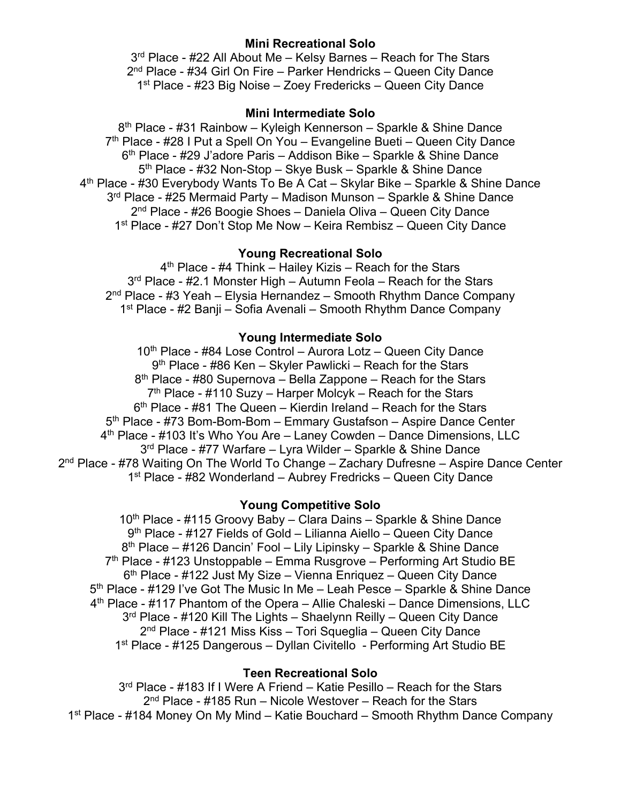## **Mini Recreational Solo**

3<sup>rd</sup> Place - #22 All About Me - Kelsy Barnes - Reach for The Stars 2nd Place - #34 Girl On Fire – Parker Hendricks – Queen City Dance 1<sup>st</sup> Place - #23 Big Noise – Zoey Fredericks – Queen City Dance

## **Mini Intermediate Solo**

8<sup>th</sup> Place - #31 Rainbow – Kyleigh Kennerson – Sparkle & Shine Dance  $7<sup>th</sup>$  Place - #28 I Put a Spell On You – Evangeline Bueti – Queen City Dance 6<sup>th</sup> Place - #29 J'adore Paris – Addison Bike – Sparkle & Shine Dance 5<sup>th</sup> Place - #32 Non-Stop – Skye Busk – Sparkle & Shine Dance 4th Place - #30 Everybody Wants To Be A Cat – Skylar Bike – Sparkle & Shine Dance 3rd Place - #25 Mermaid Party – Madison Munson – Sparkle & Shine Dance 2nd Place - #26 Boogie Shoes – Daniela Oliva – Queen City Dance 1<sup>st</sup> Place - #27 Don't Stop Me Now – Keira Rembisz – Queen City Dance

## **Young Recreational Solo**

 $4<sup>th</sup>$  Place - #4 Think – Hailey Kizis – Reach for the Stars 3<sup>rd</sup> Place - #2.1 Monster High – Autumn Feola – Reach for the Stars  $2<sup>nd</sup>$  Place - #3 Yeah – Elysia Hernandez – Smooth Rhythm Dance Company 1st Place - #2 Banji – Sofia Avenali – Smooth Rhythm Dance Company

### **Young Intermediate Solo**

10<sup>th</sup> Place - #84 Lose Control – Aurora Lotz – Queen City Dance 9th Place - #86 Ken – Skyler Pawlicki – Reach for the Stars  $8<sup>th</sup>$  Place - #80 Supernova – Bella Zappone – Reach for the Stars  $7<sup>th</sup>$  Place - #110 Suzy – Harper Molcyk – Reach for the Stars  $6<sup>th</sup>$  Place - #81 The Queen – Kierdin Ireland – Reach for the Stars 5th Place - #73 Bom-Bom-Bom – Emmary Gustafson – Aspire Dance Center 4th Place - #103 It's Who You Are – Laney Cowden – Dance Dimensions, LLC 3<sup>rd</sup> Place - #77 Warfare – Lyra Wilder – Sparkle & Shine Dance  $2<sup>nd</sup>$  Place - #78 Waiting On The World To Change – Zachary Dufresne – Aspire Dance Center 1st Place - #82 Wonderland – Aubrey Fredricks – Queen City Dance

#### **Young Competitive Solo**

10<sup>th</sup> Place - #115 Groovy Baby – Clara Dains – Sparkle & Shine Dance 9th Place - #127 Fields of Gold – Lilianna Aiello – Queen City Dance 8<sup>th</sup> Place – #126 Dancin' Fool – Lily Lipinsky – Sparkle & Shine Dance  $7<sup>th</sup>$  Place - #123 Unstoppable – Emma Rusgrove – Performing Art Studio BE  $6<sup>th</sup>$  Place - #122 Just My Size – Vienna Enriquez – Queen City Dance 5<sup>th</sup> Place - #129 I've Got The Music In Me – Leah Pesce – Sparkle & Shine Dance 4th Place - #117 Phantom of the Opera – Allie Chaleski – Dance Dimensions, LLC 3<sup>rd</sup> Place - #120 Kill The Lights – Shaelynn Reilly – Queen City Dance 2nd Place - #121 Miss Kiss – Tori Squeglia – Queen City Dance 1st Place - #125 Dangerous – Dyllan Civitello - Performing Art Studio BE

## **Teen Recreational Solo**

3<sup>rd</sup> Place - #183 If I Were A Friend – Katie Pesillo – Reach for the Stars  $2<sup>nd</sup>$  Place - #185 Run – Nicole Westover – Reach for the Stars 1st Place - #184 Money On My Mind – Katie Bouchard – Smooth Rhythm Dance Company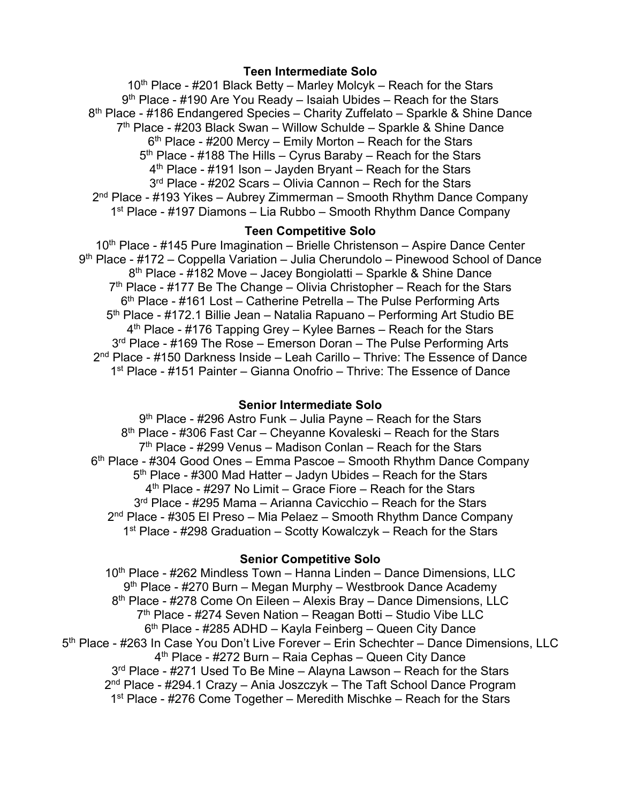#### **Teen Intermediate Solo**

 $10<sup>th</sup>$  Place - #201 Black Betty – Marley Molcyk – Reach for the Stars  $9<sup>th</sup>$  Place - #190 Are You Ready – Isaiah Ubides – Reach for the Stars 8<sup>th</sup> Place - #186 Endangered Species – Charity Zuffelato – Sparkle & Shine Dance  $7<sup>th</sup>$  Place - #203 Black Swan – Willow Schulde – Sparkle & Shine Dance  $6<sup>th</sup>$  Place - #200 Mercy – Emily Morton – Reach for the Stars  $5<sup>th</sup>$  Place - #188 The Hills – Cyrus Baraby – Reach for the Stars  $4<sup>th</sup>$  Place - #191 Ison – Jayden Bryant – Reach for the Stars 3<sup>rd</sup> Place - #202 Scars – Olivia Cannon – Rech for the Stars 2<sup>nd</sup> Place - #193 Yikes – Aubrey Zimmerman – Smooth Rhythm Dance Company 1st Place - #197 Diamons – Lia Rubbo – Smooth Rhythm Dance Company

## **Teen Competitive Solo**

10<sup>th</sup> Place - #145 Pure Imagination – Brielle Christenson – Aspire Dance Center 9th Place - #172 – Coppella Variation – Julia Cherundolo – Pinewood School of Dance 8th Place - #182 Move – Jacey Bongiolatti – Sparkle & Shine Dance  $7<sup>th</sup>$  Place - #177 Be The Change – Olivia Christopher – Reach for the Stars 6th Place - #161 Lost – Catherine Petrella – The Pulse Performing Arts 5<sup>th</sup> Place - #172.1 Billie Jean – Natalia Rapuano – Performing Art Studio BE  $4<sup>th</sup>$  Place - #176 Tapping Grey – Kylee Barnes – Reach for the Stars 3<sup>rd</sup> Place - #169 The Rose – Emerson Doran – The Pulse Performing Arts 2nd Place - #150 Darkness Inside – Leah Carillo – Thrive: The Essence of Dance 1st Place - #151 Painter – Gianna Onofrio – Thrive: The Essence of Dance

#### **Senior Intermediate Solo**

9th Place - #296 Astro Funk – Julia Payne – Reach for the Stars 8<sup>th</sup> Place - #306 Fast Car – Cheyanne Kovaleski – Reach for the Stars  $7<sup>th</sup>$  Place - #299 Venus – Madison Conlan – Reach for the Stars  $6<sup>th</sup>$  Place - #304 Good Ones – Emma Pascoe – Smooth Rhythm Dance Company  $5<sup>th</sup>$  Place - #300 Mad Hatter – Jadyn Ubides – Reach for the Stars  $4<sup>th</sup>$  Place - #297 No Limit – Grace Fiore – Reach for the Stars 3<sup>rd</sup> Place - #295 Mama – Arianna Cavicchio – Reach for the Stars  $2<sup>nd</sup>$  Place - #305 El Preso – Mia Pelaez – Smooth Rhythm Dance Company 1st Place -  $\#298$  Graduation – Scotty Kowalczyk – Reach for the Stars

## **Senior Competitive Solo**

10<sup>th</sup> Place - #262 Mindless Town – Hanna Linden – Dance Dimensions, LLC 9<sup>th</sup> Place - #270 Burn – Megan Murphy – Westbrook Dance Academy 8<sup>th</sup> Place - #278 Come On Eileen – Alexis Bray – Dance Dimensions, LLC 7th Place - #274 Seven Nation – Reagan Botti – Studio Vibe LLC  $6<sup>th</sup>$  Place - #285 ADHD – Kayla Feinberg – Queen City Dance 5<sup>th</sup> Place - #263 In Case You Don't Live Forever - Erin Schechter - Dance Dimensions, LLC 4<sup>th</sup> Place - #272 Burn – Raia Cephas – Queen City Dance  $3<sup>rd</sup>$  Place - #271 Used To Be Mine – Alavna Lawson – Reach for the Stars 2<sup>nd</sup> Place - #294.1 Crazy – Ania Joszczyk – The Taft School Dance Program 1<sup>st</sup> Place - #276 Come Together – Meredith Mischke – Reach for the Stars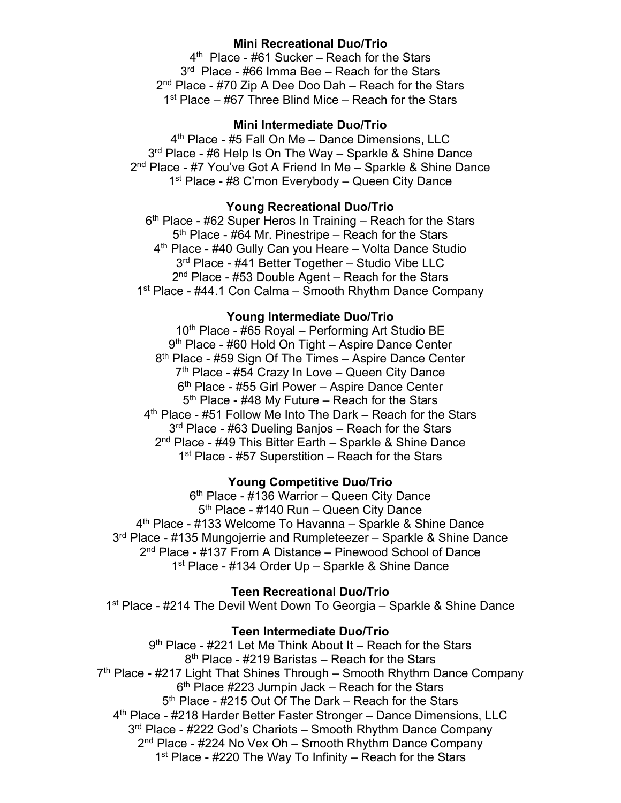## **Mini Recreational Duo/Trio**

4<sup>th</sup> Place - #61 Sucker – Reach for the Stars 3<sup>rd</sup> Place - #66 Imma Bee - Reach for the Stars 2<sup>nd</sup> Place - #70 Zip A Dee Doo Dah – Reach for the Stars 1<sup>st</sup> Place – #67 Three Blind Mice – Reach for the Stars

## **Mini Intermediate Duo/Trio**

4<sup>th</sup> Place - #5 Fall On Me - Dance Dimensions, LLC 3<sup>rd</sup> Place - #6 Help Is On The Way - Sparkle & Shine Dance 2<sup>nd</sup> Place - #7 You've Got A Friend In Me - Sparkle & Shine Dance 1<sup>st</sup> Place - #8 C'mon Everybody – Queen City Dance

## **Young Recreational Duo/Trio**

 $6<sup>th</sup>$  Place - #62 Super Heros In Training – Reach for the Stars 5<sup>th</sup> Place - #64 Mr. Pinestripe – Reach for the Stars 4<sup>th</sup> Place - #40 Gully Can you Heare – Volta Dance Studio 3<sup>rd</sup> Place - #41 Better Together - Studio Vibe LLC 2<sup>nd</sup> Place - #53 Double Agent – Reach for the Stars 1<sup>st</sup> Place - #44.1 Con Calma – Smooth Rhythm Dance Company

## **Young Intermediate Duo/Trio**

10<sup>th</sup> Place - #65 Royal – Performing Art Studio BE 9<sup>th</sup> Place - #60 Hold On Tight – Aspire Dance Center 8<sup>th</sup> Place - #59 Sign Of The Times – Aspire Dance Center  $7<sup>th</sup>$  Place - #54 Crazy In Love – Queen City Dance 6th Place - #55 Girl Power – Aspire Dance Center  $5<sup>th</sup>$  Place - #48 My Future – Reach for the Stars 4th Place - #51 Follow Me Into The Dark – Reach for the Stars 3<sup>rd</sup> Place - #63 Dueling Banjos – Reach for the Stars 2<sup>nd</sup> Place - #49 This Bitter Earth – Sparkle & Shine Dance  $1<sup>st</sup>$  Place - #57 Superstition – Reach for the Stars

### **Young Competitive Duo/Trio**

6<sup>th</sup> Place - #136 Warrior – Queen City Dance 5<sup>th</sup> Place - #140 Run – Queen City Dance 4th Place - #133 Welcome To Havanna – Sparkle & Shine Dance 3<sup>rd</sup> Place - #135 Mungojerrie and Rumpleteezer – Sparkle & Shine Dance 2nd Place - #137 From A Distance – Pinewood School of Dance 1<sup>st</sup> Place - #134 Order Up – Sparkle & Shine Dance

## **Teen Recreational Duo/Trio**

1<sup>st</sup> Place - #214 The Devil Went Down To Georgia – Sparkle & Shine Dance

## **Teen Intermediate Duo/Trio**

 $9<sup>th</sup>$  Place - #221 Let Me Think About It – Reach for the Stars 8th Place - #219 Baristas – Reach for the Stars  $7<sup>th</sup>$  Place - #217 Light That Shines Through – Smooth Rhythm Dance Company  $6<sup>th</sup>$  Place #223 Jumpin Jack – Reach for the Stars 5<sup>th</sup> Place - #215 Out Of The Dark – Reach for the Stars 4th Place - #218 Harder Better Faster Stronger – Dance Dimensions, LLC 3<sup>rd</sup> Place - #222 God's Chariots – Smooth Rhythm Dance Company 2<sup>nd</sup> Place - #224 No Vex Oh – Smooth Rhythm Dance Company 1<sup>st</sup> Place - #220 The Way To Infinity – Reach for the Stars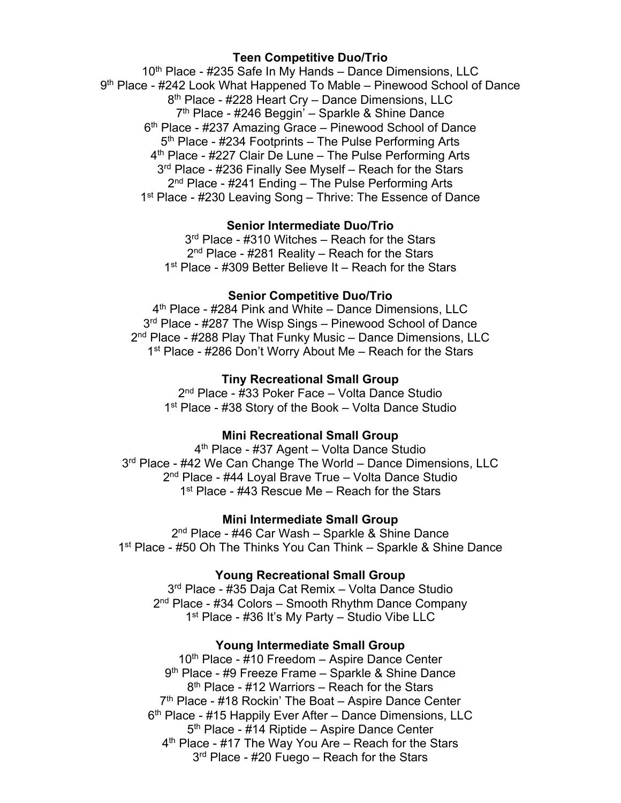## **Teen Competitive Duo/Trio**

10<sup>th</sup> Place - #235 Safe In My Hands - Dance Dimensions, LLC 9th Place - #242 Look What Happened To Mable – Pinewood School of Dance 8<sup>th</sup> Place - #228 Heart Cry - Dance Dimensions, LLC 7<sup>th</sup> Place - #246 Beggin<sup>7</sup> – Sparkle & Shine Dance 6<sup>th</sup> Place - #237 Amazing Grace – Pinewood School of Dance  $5<sup>th</sup>$  Place - #234 Footprints – The Pulse Performing Arts 4<sup>th</sup> Place - #227 Clair De Lune – The Pulse Performing Arts 3<sup>rd</sup> Place - #236 Finally See Myself – Reach for the Stars  $2<sup>nd</sup>$  Place - #241 Ending – The Pulse Performing Arts 1<sup>st</sup> Place - #230 Leaving Song – Thrive: The Essence of Dance

## **Senior Intermediate Duo/Trio**

3<sup>rd</sup> Place - #310 Witches – Reach for the Stars 2<sup>nd</sup> Place - #281 Reality – Reach for the Stars 1<sup>st</sup> Place - #309 Better Believe It – Reach for the Stars

### **Senior Competitive Duo/Trio**

4<sup>th</sup> Place - #284 Pink and White – Dance Dimensions, LLC 3<sup>rd</sup> Place - #287 The Wisp Sings – Pinewood School of Dance 2<sup>nd</sup> Place - #288 Play That Funky Music – Dance Dimensions, LLC 1<sup>st</sup> Place - #286 Don't Worry About Me – Reach for the Stars

## **Tiny Recreational Small Group**

2nd Place - #33 Poker Face – Volta Dance Studio 1<sup>st</sup> Place - #38 Story of the Book – Volta Dance Studio

### **Mini Recreational Small Group**

4<sup>th</sup> Place - #37 Agent – Volta Dance Studio 3<sup>rd</sup> Place - #42 We Can Change The World – Dance Dimensions, LLC 2<sup>nd</sup> Place - #44 Loyal Brave True – Volta Dance Studio 1<sup>st</sup> Place - #43 Rescue Me – Reach for the Stars

#### **Mini Intermediate Small Group**

2<sup>nd</sup> Place - #46 Car Wash – Sparkle & Shine Dance 1<sup>st</sup> Place - #50 Oh The Thinks You Can Think – Sparkle & Shine Dance

### **Young Recreational Small Group**

3rd Place - #35 Daja Cat Remix – Volta Dance Studio 2nd Place - #34 Colors – Smooth Rhythm Dance Company 1<sup>st</sup> Place - #36 It's My Party – Studio Vibe LLC

#### **Young Intermediate Small Group**

10<sup>th</sup> Place - #10 Freedom – Aspire Dance Center 9<sup>th</sup> Place - #9 Freeze Frame - Sparkle & Shine Dance 8th Place - #12 Warriors – Reach for the Stars 7<sup>th</sup> Place - #18 Rockin' The Boat – Aspire Dance Center 6th Place - #15 Happily Ever After – Dance Dimensions, LLC 5<sup>th</sup> Place - #14 Riptide – Aspire Dance Center 4<sup>th</sup> Place - #17 The Way You Are – Reach for the Stars 3<sup>rd</sup> Place - #20 Fuego – Reach for the Stars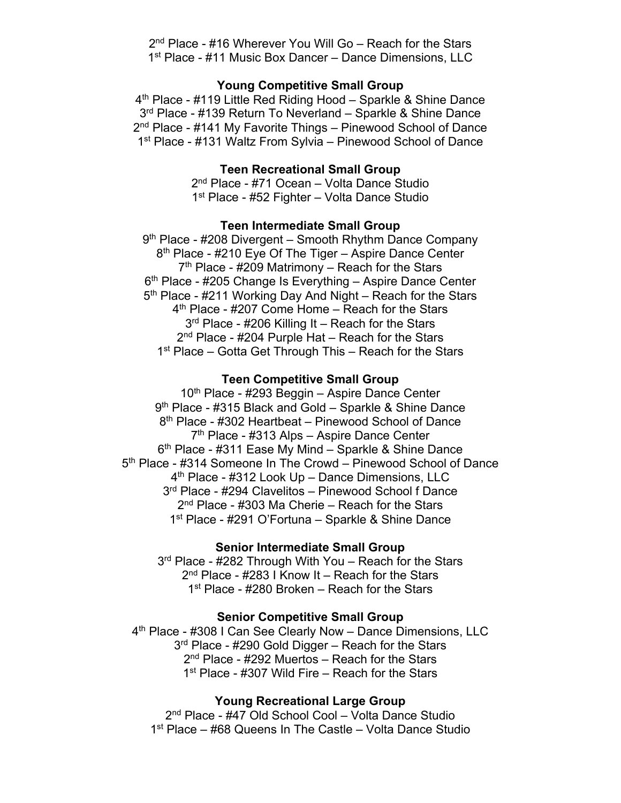2<sup>nd</sup> Place - #16 Wherever You Will Go – Reach for the Stars 1<sup>st</sup> Place - #11 Music Box Dancer – Dance Dimensions, LLC

## **Young Competitive Small Group**

4th Place - #119 Little Red Riding Hood – Sparkle & Shine Dance 3<sup>rd</sup> Place - #139 Return To Neverland – Sparkle & Shine Dance 2<sup>nd</sup> Place - #141 My Favorite Things – Pinewood School of Dance 1<sup>st</sup> Place - #131 Waltz From Sylvia – Pinewood School of Dance

#### **Teen Recreational Small Group**

2nd Place - #71 Ocean – Volta Dance Studio 1<sup>st</sup> Place - #52 Fighter – Volta Dance Studio

### **Teen Intermediate Small Group**

9<sup>th</sup> Place - #208 Divergent – Smooth Rhythm Dance Company 8<sup>th</sup> Place - #210 Eye Of The Tiger – Aspire Dance Center  $7<sup>th</sup>$  Place - #209 Matrimony – Reach for the Stars 6<sup>th</sup> Place - #205 Change Is Everything – Aspire Dance Center 5<sup>th</sup> Place - #211 Working Day And Night – Reach for the Stars 4<sup>th</sup> Place - #207 Come Home – Reach for the Stars 3<sup>rd</sup> Place - #206 Killing It – Reach for the Stars 2<sup>nd</sup> Place - #204 Purple Hat – Reach for the Stars 1<sup>st</sup> Place – Gotta Get Through This – Reach for the Stars

### **Teen Competitive Small Group**

10<sup>th</sup> Place - #293 Beggin – Aspire Dance Center 9th Place - #315 Black and Gold – Sparkle & Shine Dance 8th Place - #302 Heartbeat – Pinewood School of Dance 7<sup>th</sup> Place - #313 Alps – Aspire Dance Center  $6<sup>th</sup>$  Place - #311 Ease My Mind – Sparkle & Shine Dance 5<sup>th</sup> Place - #314 Someone In The Crowd – Pinewood School of Dance 4<sup>th</sup> Place - #312 Look Up – Dance Dimensions, LLC 3rd Place - #294 Clavelitos – Pinewood School f Dance  $2<sup>nd</sup>$  Place - #303 Ma Cherie – Reach for the Stars 1<sup>st</sup> Place - #291 O'Fortuna – Sparkle & Shine Dance

## **Senior Intermediate Small Group**

3<sup>rd</sup> Place - #282 Through With You – Reach for the Stars  $2<sup>nd</sup>$  Place - #283 I Know It – Reach for the Stars 1<sup>st</sup> Place - #280 Broken – Reach for the Stars

#### **Senior Competitive Small Group**

4th Place - #308 I Can See Clearly Now – Dance Dimensions, LLC 3<sup>rd</sup> Place - #290 Gold Digger – Reach for the Stars 2<sup>nd</sup> Place - #292 Muertos – Reach for the Stars 1<sup>st</sup> Place - #307 Wild Fire – Reach for the Stars

#### **Young Recreational Large Group**

2nd Place - #47 Old School Cool – Volta Dance Studio 1<sup>st</sup> Place – #68 Queens In The Castle – Volta Dance Studio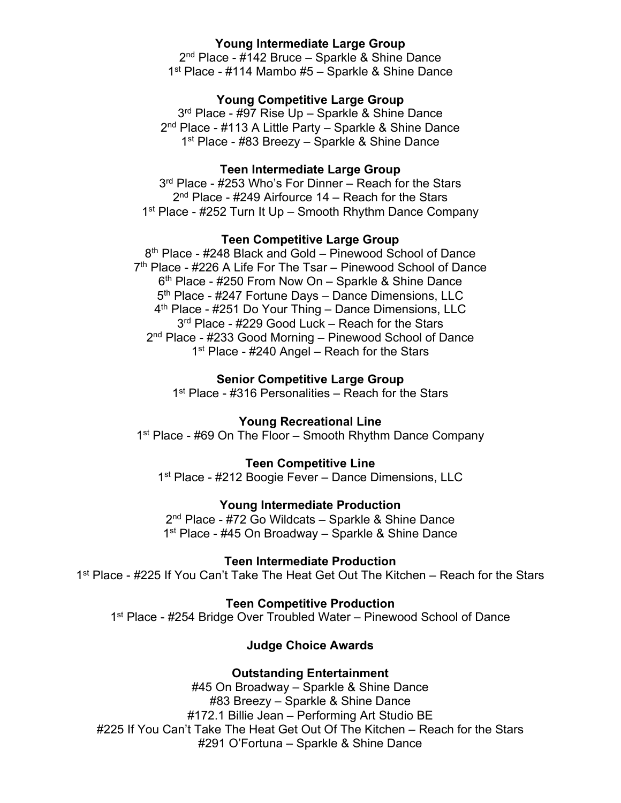## **Young Intermediate Large Group**

2<sup>nd</sup> Place - #142 Bruce – Sparkle & Shine Dance 1<sup>st</sup> Place - #114 Mambo #5 – Sparkle & Shine Dance

## **Young Competitive Large Group**

3<sup>rd</sup> Place - #97 Rise Up - Sparkle & Shine Dance 2<sup>nd</sup> Place - #113 A Little Party – Sparkle & Shine Dance 1<sup>st</sup> Place - #83 Breezy – Sparkle & Shine Dance

#### **Teen Intermediate Large Group**

3<sup>rd</sup> Place - #253 Who's For Dinner – Reach for the Stars  $2<sup>nd</sup>$  Place - #249 Airfource 14 – Reach for the Stars 1<sup>st</sup> Place - #252 Turn It Up – Smooth Rhythm Dance Company

## **Teen Competitive Large Group**

8<sup>th</sup> Place - #248 Black and Gold – Pinewood School of Dance 7<sup>th</sup> Place - #226 A Life For The Tsar – Pinewood School of Dance 6<sup>th</sup> Place - #250 From Now On – Sparkle & Shine Dance 5<sup>th</sup> Place - #247 Fortune Days – Dance Dimensions, LLC 4th Place - #251 Do Your Thing – Dance Dimensions, LLC 3<sup>rd</sup> Place - #229 Good Luck – Reach for the Stars 2nd Place - #233 Good Morning – Pinewood School of Dance 1<sup>st</sup> Place - #240 Angel – Reach for the Stars

### **Senior Competitive Large Group**

1<sup>st</sup> Place - #316 Personalities – Reach for the Stars

**Young Recreational Line** 

1<sup>st</sup> Place - #69 On The Floor – Smooth Rhythm Dance Company

### **Teen Competitive Line**

1<sup>st</sup> Place - #212 Boogie Fever – Dance Dimensions, LLC

## **Young Intermediate Production**

2<sup>nd</sup> Place - #72 Go Wildcats – Sparkle & Shine Dance 1<sup>st</sup> Place - #45 On Broadway – Sparkle & Shine Dance

**Teen Intermediate Production**

1<sup>st</sup> Place - #225 If You Can't Take The Heat Get Out The Kitchen – Reach for the Stars

#### **Teen Competitive Production**

1<sup>st</sup> Place - #254 Bridge Over Troubled Water – Pinewood School of Dance

## **Judge Choice Awards**

#### **Outstanding Entertainment**

#45 On Broadway – Sparkle & Shine Dance #83 Breezy – Sparkle & Shine Dance #172.1 Billie Jean – Performing Art Studio BE #225 If You Can't Take The Heat Get Out Of The Kitchen – Reach for the Stars #291 O'Fortuna – Sparkle & Shine Dance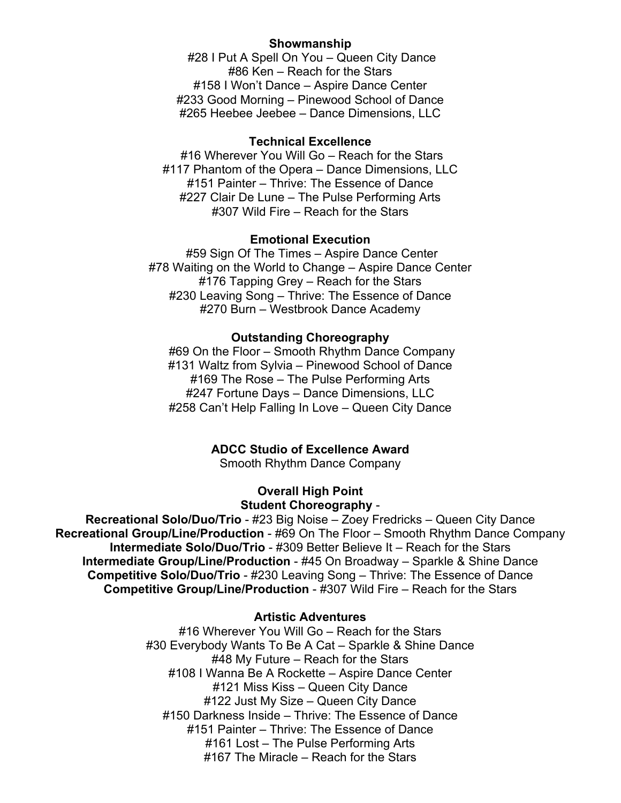### **Showmanship**

#28 I Put A Spell On You – Queen City Dance #86 Ken – Reach for the Stars #158 I Won't Dance – Aspire Dance Center #233 Good Morning – Pinewood School of Dance #265 Heebee Jeebee – Dance Dimensions, LLC

## **Technical Excellence**

#16 Wherever You Will Go – Reach for the Stars #117 Phantom of the Opera – Dance Dimensions, LLC #151 Painter – Thrive: The Essence of Dance #227 Clair De Lune – The Pulse Performing Arts #307 Wild Fire – Reach for the Stars

#### **Emotional Execution**

#59 Sign Of The Times – Aspire Dance Center #78 Waiting on the World to Change – Aspire Dance Center #176 Tapping Grey – Reach for the Stars #230 Leaving Song – Thrive: The Essence of Dance #270 Burn – Westbrook Dance Academy

#### **Outstanding Choreography**

#69 On the Floor – Smooth Rhythm Dance Company #131 Waltz from Sylvia – Pinewood School of Dance #169 The Rose – The Pulse Performing Arts #247 Fortune Days – Dance Dimensions, LLC #258 Can't Help Falling In Love – Queen City Dance

## **ADCC Studio of Excellence Award**

Smooth Rhythm Dance Company

### **Overall High Point Student Choreography** -

**Recreational Solo/Duo/Trio** - #23 Big Noise – Zoey Fredricks – Queen City Dance **Recreational Group/Line/Production** - #69 On The Floor – Smooth Rhythm Dance Company **Intermediate Solo/Duo/Trio** - #309 Better Believe It – Reach for the Stars **Intermediate Group/Line/Production** - #45 On Broadway – Sparkle & Shine Dance **Competitive Solo/Duo/Trio** - #230 Leaving Song – Thrive: The Essence of Dance **Competitive Group/Line/Production** - #307 Wild Fire – Reach for the Stars

#### **Artistic Adventures**

#16 Wherever You Will Go – Reach for the Stars #30 Everybody Wants To Be A Cat – Sparkle & Shine Dance #48 My Future – Reach for the Stars #108 I Wanna Be A Rockette – Aspire Dance Center #121 Miss Kiss – Queen City Dance #122 Just My Size – Queen City Dance #150 Darkness Inside – Thrive: The Essence of Dance #151 Painter – Thrive: The Essence of Dance #161 Lost – The Pulse Performing Arts #167 The Miracle – Reach for the Stars